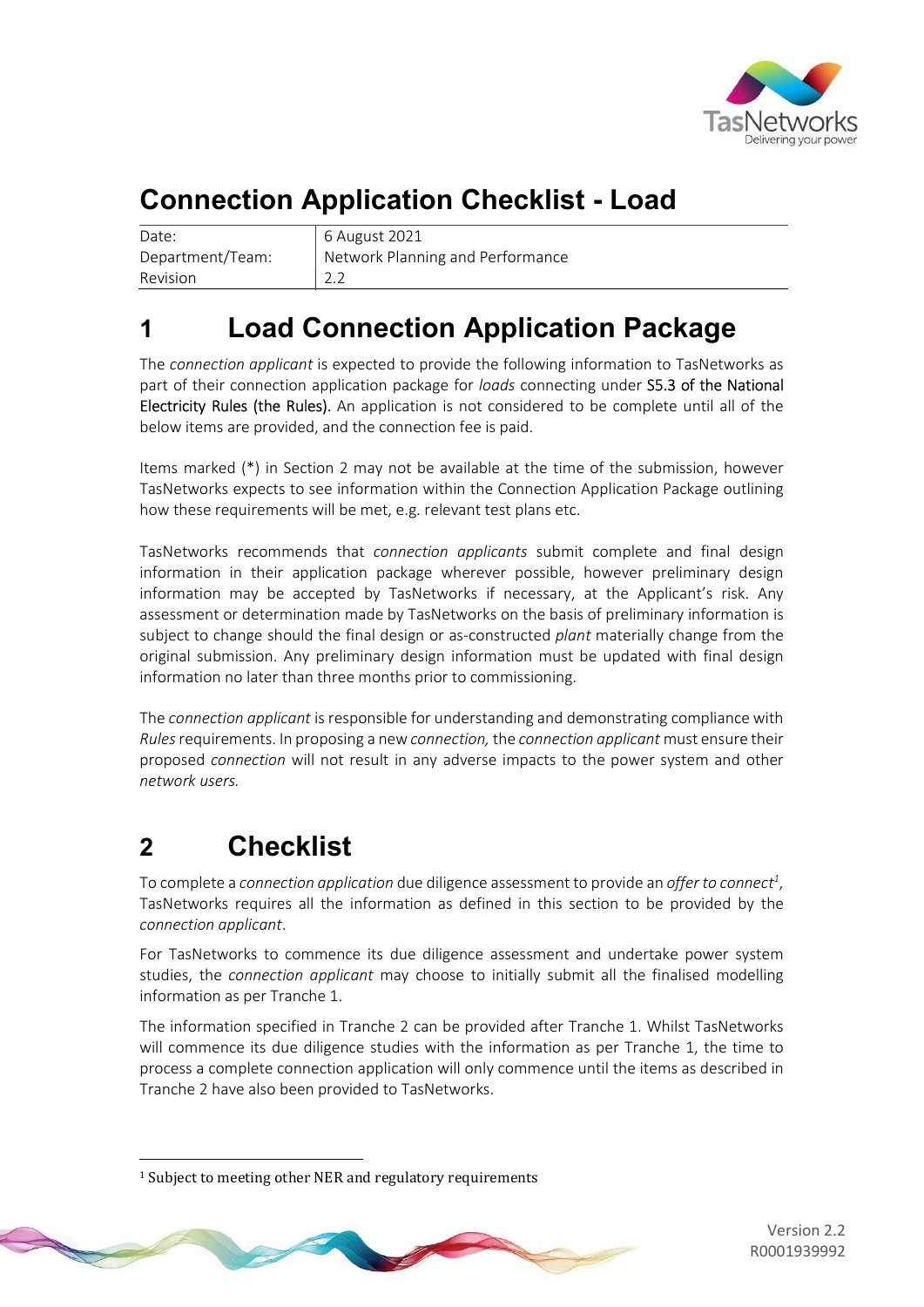

# Connection Application Checklist - Load

| Date:            | 6 A         |
|------------------|-------------|
| Department/Team: | Net         |
| Revision         | $\vert$ 2.2 |

6 August 2021 Network Planning and Performance

## 1 Load Connection Application Package

The connection applicant is expected to provide the following information to TasNetworks as part of their connection application package for loads connecting under S5.3 of the National Electricity Rules (the Rules). An application is not considered to be complete until all of the below items are provided, and the connection fee is paid.

Items marked (\*) in Section 2 may not be available at the time of the submission, however TasNetworks expects to see information within the Connection Application Package outlining how these requirements will be met, e.g. relevant test plans etc.

TasNetworks recommends that connection applicants submit complete and final design information in their application package wherever possible, however preliminary design information may be accepted by TasNetworks if necessary, at the Applicant's risk. Any assessment or determination made by TasNetworks on the basis of preliminary information is subject to change should the final design or as-constructed plant materially change from the original submission. Any preliminary design information must be updated with final design information no later than three months prior to commissioning.

The connection applicant is responsible for understanding and demonstrating compliance with Rules requirements. In proposing a new connection, the connection applicant must ensure their proposed connection will not result in any adverse impacts to the power system and other network users.

## 2 Checklist

-

To complete a connection application due diligence assessment to provide an offer to connect<sup>1</sup>, TasNetworks requires all the information as defined in this section to be provided by the connection applicant.

For TasNetworks to commence its due diligence assessment and undertake power system studies, the *connection applicant* may choose to initially submit all the finalised modelling information as per Tranche 1.

The information specified in Tranche 2 can be provided after Tranche 1. Whilst TasNetworks will commence its due diligence studies with the information as per Tranche 1, the time to process a complete connection application will only commence until the items as described in Tranche 2 have also been provided to TasNetworks.

<sup>1</sup> Subject to meeting other NER and regulatory requirements



Version 2.2 R0001939992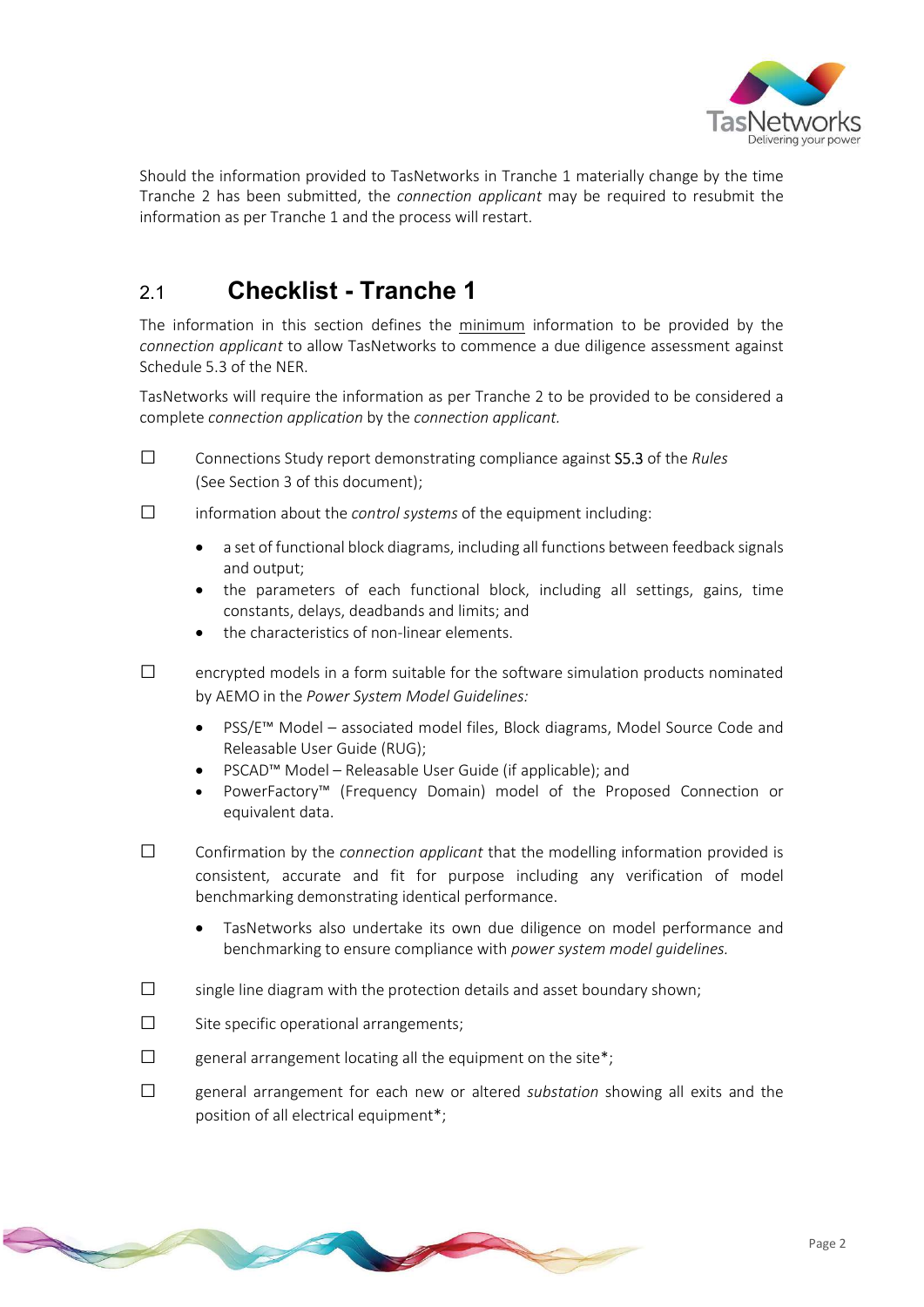

Should the information provided to TasNetworks in Tranche 1 materially change by the time Tranche 2 has been submitted, the connection applicant may be required to resubmit the information as per Tranche 1 and the process will restart.

#### 2.1 Checklist - Tranche 1

The information in this section defines the minimum information to be provided by the connection applicant to allow TasNetworks to commence a due diligence assessment against Schedule 5.3 of the NER.

TasNetworks will require the information as per Tranche 2 to be provided to be considered a complete connection application by the connection applicant.

- $\square$  Connections Study report demonstrating compliance against **S5.3** of the *Rules* (See Section 3 of this document);
- □ information about the control systems of the equipment including:
	- a set of functional block diagrams, including all functions between feedback signals and output;
	- the parameters of each functional block, including all settings, gains, time constants, delays, deadbands and limits; and
	- the characteristics of non-linear elements.
- $\square$  encrypted models in a form suitable for the software simulation products nominated by AEMO in the Power System Model Guidelines:
	- PSS/E™ Model associated model files, Block diagrams, Model Source Code and Releasable User Guide (RUG);
	- PSCAD™ Model Releasable User Guide (if applicable); and
	- PowerFactory™ (Frequency Domain) model of the Proposed Connection or equivalent data.
- □ Confirmation by the connection applicant that the modelling information provided is consistent, accurate and fit for purpose including any verification of model benchmarking demonstrating identical performance.
	- TasNetworks also undertake its own due diligence on model performance and benchmarking to ensure compliance with power system model guidelines.
- $\square$  single line diagram with the protection details and asset boundary shown;
- $\square$  Site specific operational arrangements:
- $\square$  general arrangement locating all the equipment on the site\*;
- $\square$  general arrangement for each new or altered substation showing all exits and the position of all electrical equipment\*;

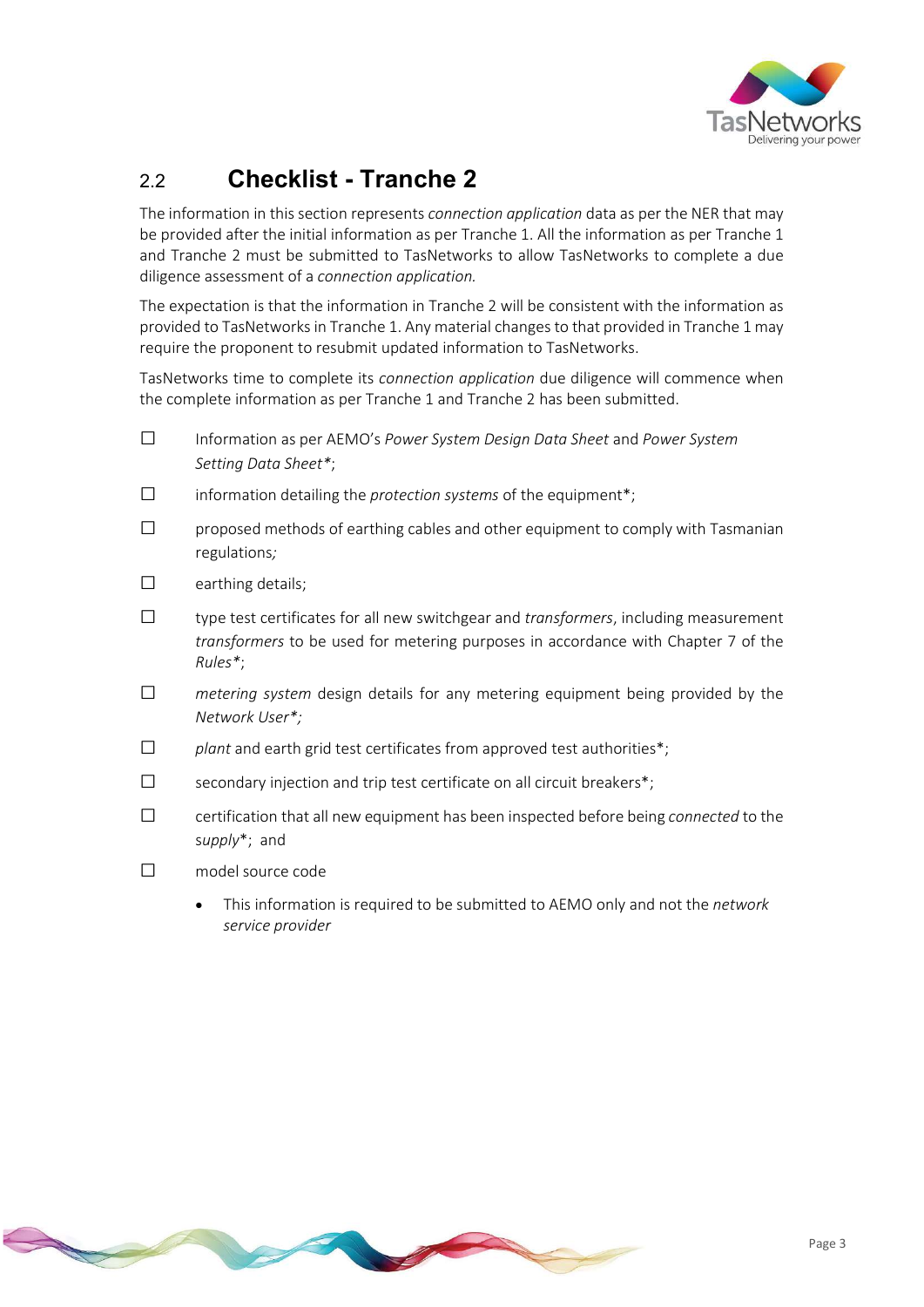

### 2.2 Checklist - Tranche 2

The information in this section represents *connection application* data as per the NER that may be provided after the initial information as per Tranche 1. All the information as per Tranche 1 and Tranche 2 must be submitted to TasNetworks to allow TasNetworks to complete a due diligence assessment of a connection application.

The expectation is that the information in Tranche 2 will be consistent with the information as provided to TasNetworks in Tranche 1. Any material changes to that provided in Tranche 1 may require the proponent to resubmit updated information to TasNetworks.

TasNetworks time to complete its connection application due diligence will commence when the complete information as per Tranche 1 and Tranche 2 has been submitted.

- □ Information as per AEMO's Power System Design Data Sheet and Power System Setting Data Sheet\*;
- $\square$  information detailing the *protection systems* of the equipment<sup>\*</sup>;
- $\square$  proposed methods of earthing cables and other equipment to comply with Tasmanian regulations;
- $\square$  earthing details;
- $\square$  type test certificates for all new switchgear and transformers, including measurement transformers to be used for metering purposes in accordance with Chapter 7 of the Rules\*;
- $\square$  metering system design details for any metering equipment being provided by the Network User\*;
- $\square$  plant and earth grid test certificates from approved test authorities\*;
- $\square$  secondary injection and trip test certificate on all circuit breakers\*;
- □ certification that all new equipment has been inspected before being connected to the supply\*; and
- □ model source code
	- This information is required to be submitted to AEMO only and not the network service provider